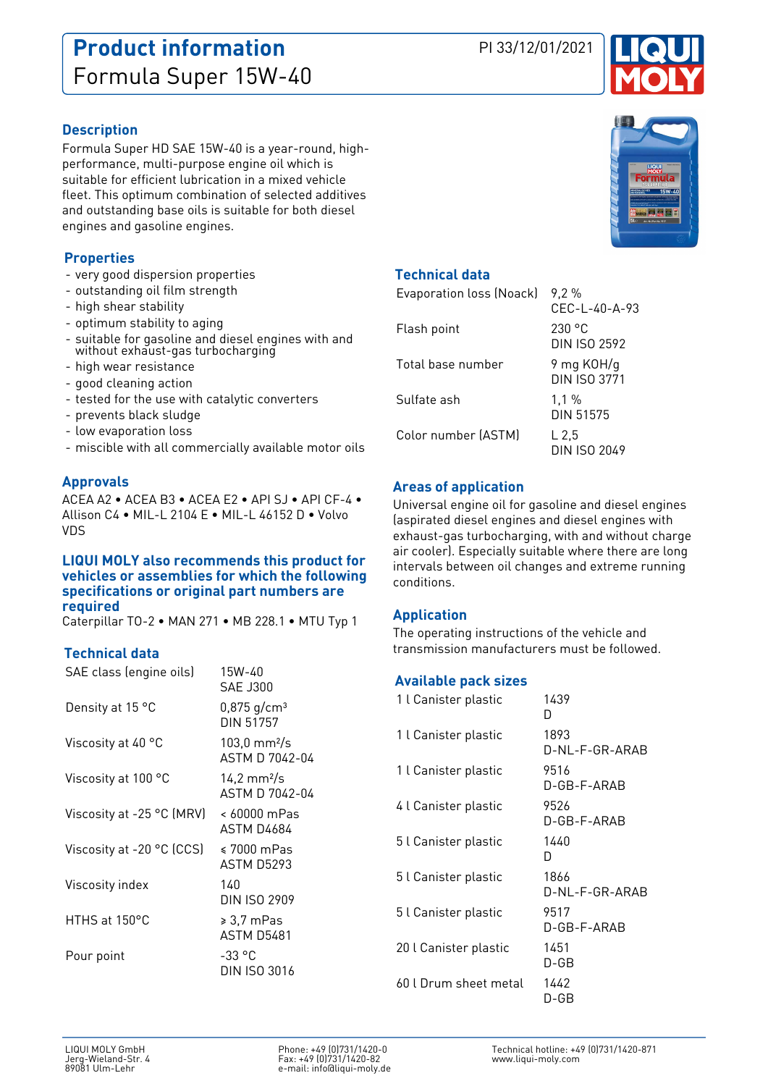# **Product information** PI 33/12/01/2021 Formula Super 15W-40



# **Description**

Formula Super HD SAE 15W-40 is a year-round, highperformance, multi-purpose engine oil which is suitable for efficient lubrication in a mixed vehicle fleet. This optimum combination of selected additives and outstanding base oils is suitable for both diesel engines and gasoline engines.

# **Properties**

- very good dispersion properties
- outstanding oil film strength
- high shear stability
- optimum stability to aging
- suitable for gasoline and diesel engines with and without exhaust-gas turbocharging
- high wear resistance
- good cleaning action
- tested for the use with catalytic converters
- prevents black sludge
- low evaporation loss
- miscible with all commercially available motor oils

## **Approvals**

ACEA A2 • ACEA B3 • ACEA E2 • API SJ • API CF-4 • Allison C4 • MIL-L 2104 E • MIL-L 46152 D • Volvo VDS

#### **LIQUI MOLY also recommends this product for vehicles or assemblies for which the following specifications or original part numbers are required**

Caterpillar TO-2 • MAN 271 • MB 228.1 • MTU Typ 1

# **Technical data**

| SAE class (engine oils)   | 15W-40<br><b>SAE J300</b>                 |
|---------------------------|-------------------------------------------|
| Density at 15 °C          | $0,875$ g/cm <sup>3</sup><br>DIN 51757    |
| Viscosity at 40 °C        | 103,0 mm²/s<br>ASTM D 7042-04             |
| Viscosity at 100 °C       | 14,2 mm <sup>2</sup> /s<br>ASTM D 7042-04 |
| Viscosity at -25 °C (MRV) | < 60000 mPas<br>ASTM D4684                |
| Viscosity at -20 °C (CCS) | $\leq 7000$ mPas<br>ASTM D5293            |
| Viscosity index           | 140<br>DIN ISO 2909                       |
| HTHS at 150°C             | ≥ 3.7 mPas<br><b>ASTM D5481</b>           |
| Pour point                | -33 °C<br>DIN ISO 3016                    |



# **Technical data**

| Evaporation loss (Noack) | 9,2%<br>$CFC-I - 40 - A-93$   |
|--------------------------|-------------------------------|
| Flash point              | 230 °C<br><b>DIN ISO 2592</b> |
| Total base number        | 9 mg KOH/g<br>DIN ISO 3771    |
| Sulfate ash              | $1.1\%$<br>DIN 51575          |
| Color number (ASTM)      | L 2.5<br>DIN ISO 2049         |

# **Areas of application**

Universal engine oil for gasoline and diesel engines (aspirated diesel engines and diesel engines with exhaust-gas turbocharging, with and without charge air cooler). Especially suitable where there are long intervals between oil changes and extreme running conditions.

## **Application**

The operating instructions of the vehicle and transmission manufacturers must be followed.

#### **Available pack sizes**

| 1 l Canister plastic  | 1439<br>D              |
|-----------------------|------------------------|
| 1 l Canister plastic  | 1893<br>D-NL-F-GR-ARAB |
| 1 l Canister plastic  | 9516<br>D-GB-F-ARAB    |
| 4 l Canister plastic  | 9526<br>D-GB-F-ARAB    |
| 5 l Canister plastic  | 1440<br>D              |
| 5 l Canister plastic  | 1866<br>D-NL-F-GR-ARAB |
| 5 l Canister plastic  | 9517<br>D-GB-F-ARAB    |
| 20 l Canister plastic | 1451<br>D-GB           |
| 60 l Drum sheet metal | 1442<br>D-GB           |